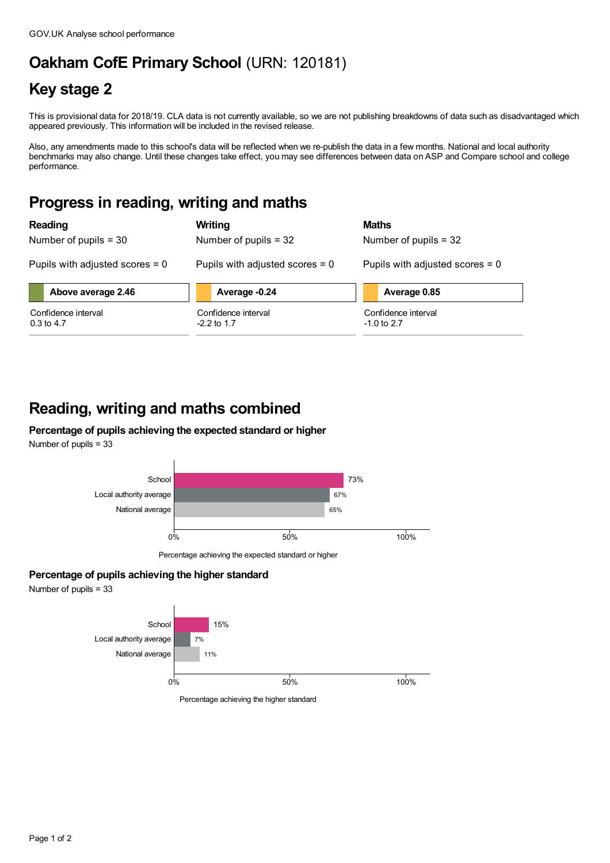# **Oakham CofE Primary School** (URN: 120181)

## **Key stage 2**

This is provisional data for 2018/19. CLA data is not currently available, so we are not publishing breakdowns of data such as disadvantaged which appeared previously. This information will be included in the revised release.

Also, any amendments made to this school's data will be reflected when we re-publish the data in a few months. National and local authority benchmarks may also change. Until these changes take effect, you may see differences between data on ASP and Compare school and college performance.

### **Progress in reading, writing and maths**

| <b>Reading</b>                    | Writing                           | <b>Maths</b>                      |
|-----------------------------------|-----------------------------------|-----------------------------------|
| Number of pupils $=$ 30           | Number of pupils $=$ 32           | Number of pupils $=$ 32           |
| Pupils with adjusted scores $= 0$ | Pupils with adjusted scores $= 0$ | Pupils with adjusted scores $= 0$ |
| Above average 2.46                | Average -0.24                     | Average 0.85                      |
| Confidence interval               | Confidence interval               | Confidence interval               |
| $0.3$ to 4.7                      | $-2.2$ to 1.7                     | $-1.0$ to 2.7                     |

## **Reading, writing and maths combined**

#### **Percentage of pupils achieving the expected standard or higher** Number of pupils = 33



Percentage achieving the expected standard or higher

### **Percentage of pupils achieving the higher standard**

Number of pupils = 33